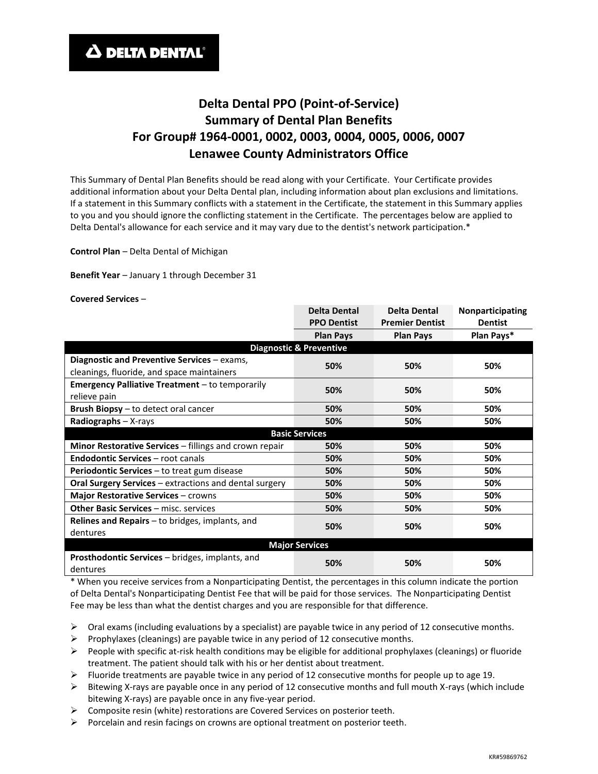# **Delta Dental PPO (Point-of-Service) Summary of Dental Plan Benefits For Group# 1964-0001, 0002, 0003, 0004, 0005, 0006, 0007 Lenawee County Administrators Office**

This Summary of Dental Plan Benefits should be read along with your Certificate. Your Certificate provides additional information about your Delta Dental plan, including information about plan exclusions and limitations. If a statement in this Summary conflicts with a statement in the Certificate, the statement in this Summary applies to you and you should ignore the conflicting statement in the Certificate. The percentages below are applied to Delta Dental's allowance for each service and it may vary due to the dentist's network participation.\*

**Control Plan** – Delta Dental of Michigan

**Benefit Year** – January 1 through December 31

**Covered Services** –

|                                                                             | <b>Delta Dental</b>   | <b>Delta Dental</b>    | Nonparticipating |  |  |
|-----------------------------------------------------------------------------|-----------------------|------------------------|------------------|--|--|
|                                                                             | <b>PPO Dentist</b>    | <b>Premier Dentist</b> | <b>Dentist</b>   |  |  |
|                                                                             | <b>Plan Pays</b>      | <b>Plan Pays</b>       | Plan Pays*       |  |  |
| <b>Diagnostic &amp; Preventive</b>                                          |                       |                        |                  |  |  |
| Diagnostic and Preventive Services - exams,                                 | 50%                   | 50%                    | 50%              |  |  |
| cleanings, fluoride, and space maintainers                                  |                       |                        |                  |  |  |
| <b>Emergency Palliative Treatment</b> – to temporarily<br>50%<br>50%<br>50% |                       |                        |                  |  |  |
| relieve pain                                                                |                       |                        |                  |  |  |
| Brush Biopsy - to detect oral cancer                                        | 50%                   | 50%                    | 50%              |  |  |
| Radiographs - X-rays                                                        | 50%                   | 50%                    | 50%              |  |  |
|                                                                             | <b>Basic Services</b> |                        |                  |  |  |
| Minor Restorative Services - fillings and crown repair                      | 50%                   | 50%                    | 50%              |  |  |
| <b>Endodontic Services - root canals</b>                                    | 50%                   | 50%                    | 50%              |  |  |
| <b>Periodontic Services</b> – to treat gum disease                          | 50%                   | 50%                    | 50%              |  |  |
| Oral Surgery Services - extractions and dental surgery                      | 50%                   | 50%                    | 50%              |  |  |
| Major Restorative Services - crowns                                         | 50%                   | 50%                    | 50%              |  |  |
| <b>Other Basic Services - misc. services</b>                                | 50%                   | 50%                    | 50%              |  |  |
| <b>Relines and Repairs</b> $-$ to bridges, implants, and                    | 50%                   | 50%                    | 50%              |  |  |
| dentures                                                                    |                       |                        |                  |  |  |
| <b>Major Services</b>                                                       |                       |                        |                  |  |  |
| <b>Prosthodontic Services - bridges, implants, and</b><br>dentures          | 50%                   | 50%                    | 50%              |  |  |

\* When you receive services from a Nonparticipating Dentist, the percentages in this column indicate the portion of Delta Dental's Nonparticipating Dentist Fee that will be paid for those services. The Nonparticipating Dentist Fee may be less than what the dentist charges and you are responsible for that difference.

 $\triangleright$  Oral exams (including evaluations by a specialist) are payable twice in any period of 12 consecutive months.

- Prophylaxes (cleanings) are payable twice in any period of 12 consecutive months.
- $\triangleright$  People with specific at-risk health conditions may be eligible for additional prophylaxes (cleanings) or fluoride treatment. The patient should talk with his or her dentist about treatment.
- $\triangleright$  Fluoride treatments are payable twice in any period of 12 consecutive months for people up to age 19.
- $\triangleright$  Bitewing X-rays are payable once in any period of 12 consecutive months and full mouth X-rays (which include bitewing X-rays) are payable once in any five-year period.
- $\triangleright$  Composite resin (white) restorations are Covered Services on posterior teeth.
- $\triangleright$  Porcelain and resin facings on crowns are optional treatment on posterior teeth.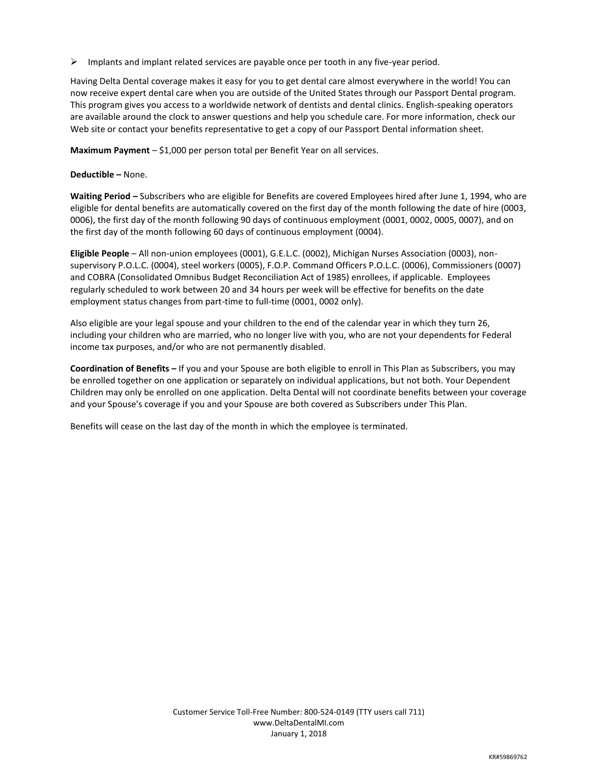$\triangleright$  Implants and implant related services are payable once per tooth in any five-year period.

Having Delta Dental coverage makes it easy for you to get dental care almost everywhere in the world! You can now receive expert dental care when you are outside of the United States through our Passport Dental program. This program gives you access to a worldwide network of dentists and dental clinics. English-speaking operators are available around the clock to answer questions and help you schedule care. For more information, check our Web site or contact your benefits representative to get a copy of our Passport Dental information sheet.

**Maximum Payment** – \$1,000 per person total per Benefit Year on all services.

#### **Deductible –** None.

**Waiting Period –** Subscribers who are eligible for Benefits are covered Employees hired after June 1, 1994, who are eligible for dental benefits are automatically covered on the first day of the month following the date of hire (0003, 0006), the first day of the month following 90 days of continuous employment (0001, 0002, 0005, 0007), and on the first day of the month following 60 days of continuous employment (0004).

**Eligible People** – All non-union employees (0001), G.E.L.C. (0002), Michigan Nurses Association (0003), nonsupervisory P.O.L.C. (0004), steel workers (0005), F.O.P. Command Officers P.O.L.C. (0006), Commissioners (0007) and COBRA (Consolidated Omnibus Budget Reconciliation Act of 1985) enrollees, if applicable. Employees regularly scheduled to work between 20 and 34 hours per week will be effective for benefits on the date employment status changes from part-time to full-time (0001, 0002 only).

Also eligible are your legal spouse and your children to the end of the calendar year in which they turn 26, including your children who are married, who no longer live with you, who are not your dependents for Federal income tax purposes, and/or who are not permanently disabled.

**Coordination of Benefits –** If you and your Spouse are both eligible to enroll in This Plan as Subscribers, you may be enrolled together on one application or separately on individual applications, but not both. Your Dependent Children may only be enrolled on one application. Delta Dental will not coordinate benefits between your coverage and your Spouse's coverage if you and your Spouse are both covered as Subscribers under This Plan.

Benefits will cease on the last day of the month in which the employee is terminated.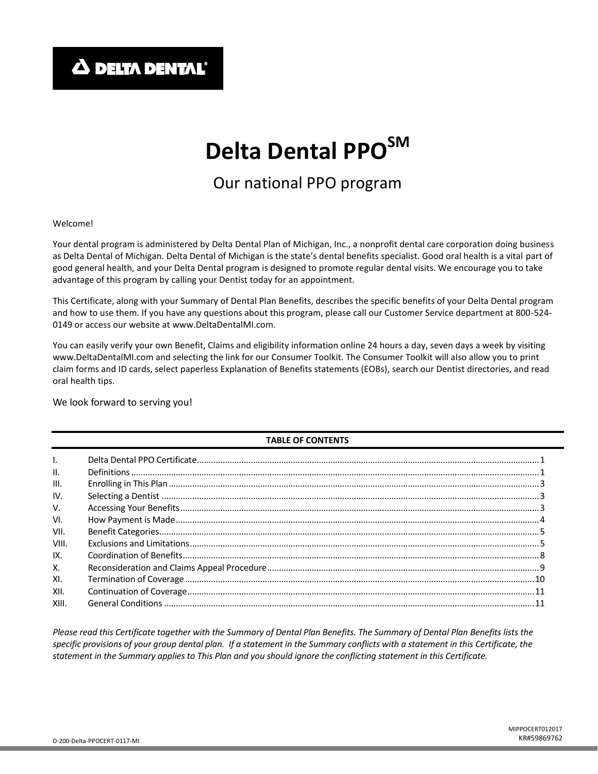**A DELTA DENTAL'** 

# **Delta Dental PPOSM**

# Our national PPO program

Welcome!

Your dental program is administered by Delta Dental Plan of Michigan, Inc., a nonprofit dental care corporation doing business as Delta Dental of Michigan. Delta Dental of Michigan is the state's dental benefits specialist. Good oral health is a vital part of good general health, and your Delta Dental program is designed to promote regular dental visits. We encourage you to take advantage of this program by calling your Dentist today for an appointment.

This Certificate, along with your Summary of Dental Plan Benefits, describes the specific benefits of your Delta Dental program and how to use them. If you have any questions about this program, please call our Customer Service department at 800-524- 0149 or access our website at www.DeltaDentalMI.com.

You can easily verify your own Benefit, Claims and eligibility information online 24 hours a day, seven days a week by visiting www.DeltaDentalMI.com and selecting the link for our Consumer Toolkit. The Consumer Toolkit will also allow you to print claim forms and ID cards, select paperless Explanation of Benefits statements (EOBs), search our Dentist directories, and read oral health tips.

We look forward to serving you!

# **TABLE OF CONTENTS**

| $\mathbf{L}$    |  |
|-----------------|--|
| $\mathbf{II}$ . |  |
| III.            |  |
| IV.             |  |
| V.              |  |
| VI.             |  |
| VII.            |  |
| VIII.           |  |
| IX.             |  |
| Χ.              |  |
| XI.             |  |
| XII.            |  |
| XIII.           |  |

*Please read this Certificate together with the Summary of Dental Plan Benefits. The Summary of Dental Plan Benefits lists the specific provisions of your group dental plan. If a statement in the Summary conflicts with a statement in this Certificate, the statement in the Summary applies to This Plan and you should ignore the conflicting statement in this Certificate.*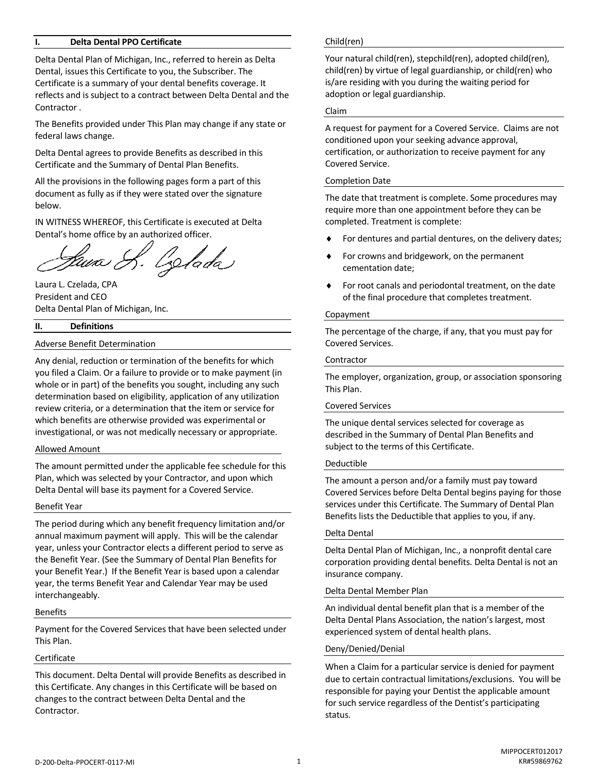#### **I. Delta Dental PPO Certificate**

Delta Dental Plan of Michigan, Inc., referred to herein as Delta Dental, issues this Certificate to you, the Subscriber. The Certificate is a summary of your dental benefits coverage. It reflects and is subject to a contract between Delta Dental and the Contractor .

The Benefits provided under This Plan may change if any state or federal laws change.

Delta Dental agrees to provide Benefits as described in this Certificate and the Summary of Dental Plan Benefits.

All the provisions in the following pages form a part of this document as fully as if they were stated over the signature below.

IN WITNESS WHEREOF, this Certificate is executed at Delta Dental's home office by an authorized officer.

luna S. Zolada

Laura L. Czelada, CPA President and CEO Delta Dental Plan of Michigan, Inc.

#### **II. Definitions**

#### Adverse Benefit Determination

Any denial, reduction or termination of the benefits for which you filed a Claim. Or a failure to provide or to make payment (in whole or in part) of the benefits you sought, including any such determination based on eligibility, application of any utilization review criteria, or a determination that the item or service for which benefits are otherwise provided was experimental or investigational, or was not medically necessary or appropriate.

#### Allowed Amount

The amount permitted under the applicable fee schedule for this Plan, which was selected by your Contractor, and upon which Delta Dental will base its payment for a Covered Service.

#### Benefit Year

The period during which any benefit frequency limitation and/or annual maximum payment will apply. This will be the calendar year, unless your Contractor elects a different period to serve as the Benefit Year. (See the Summary of Dental Plan Benefits for your Benefit Year.) If the Benefit Year is based upon a calendar year, the terms Benefit Year and Calendar Year may be used interchangeably.

#### Benefits

Payment for the Covered Services that have been selected under This Plan.

#### Certificate

This document. Delta Dental will provide Benefits as described in this Certificate. Any changes in this Certificate will be based on changes to the contract between Delta Dental and the Contractor.

#### Child(ren)

Your natural child(ren), stepchild(ren), adopted child(ren), child(ren) by virtue of legal guardianship, or child(ren) who is/are residing with you during the waiting period for adoption or legal guardianship.

#### Claim

A request for payment for a Covered Service. Claims are not conditioned upon your seeking advance approval, certification, or authorization to receive payment for any Covered Service.

#### Completion Date

The date that treatment is complete. Some procedures may require more than one appointment before they can be completed. Treatment is complete:

- For dentures and partial dentures, on the delivery dates;
- For crowns and bridgework, on the permanent cementation date;
- For root canals and periodontal treatment, on the date of the final procedure that completes treatment.

#### Copayment

The percentage of the charge, if any, that you must pay for Covered Services.

#### Contractor

The employer, organization, group, or association sponsoring This Plan.

#### Covered Services

The unique dental services selected for coverage as described in the Summary of Dental Plan Benefits and subject to the terms of this Certificate.

#### Deductible

The amount a person and/or a family must pay toward Covered Services before Delta Dental begins paying for those services under this Certificate. The Summary of Dental Plan Benefits lists the Deductible that applies to you, if any.

#### Delta Dental

Delta Dental Plan of Michigan, Inc., a nonprofit dental care corporation providing dental benefits. Delta Dental is not an insurance company.

#### Delta Dental Member Plan

An individual dental benefit plan that is a member of the Delta Dental Plans Association, the nation's largest, most experienced system of dental health plans.

#### Deny/Denied/Denial

When a Claim for a particular service is denied for payment due to certain contractual limitations/exclusions. You will be responsible for paying your Dentist the applicable amount for such service regardless of the Dentist's participating status.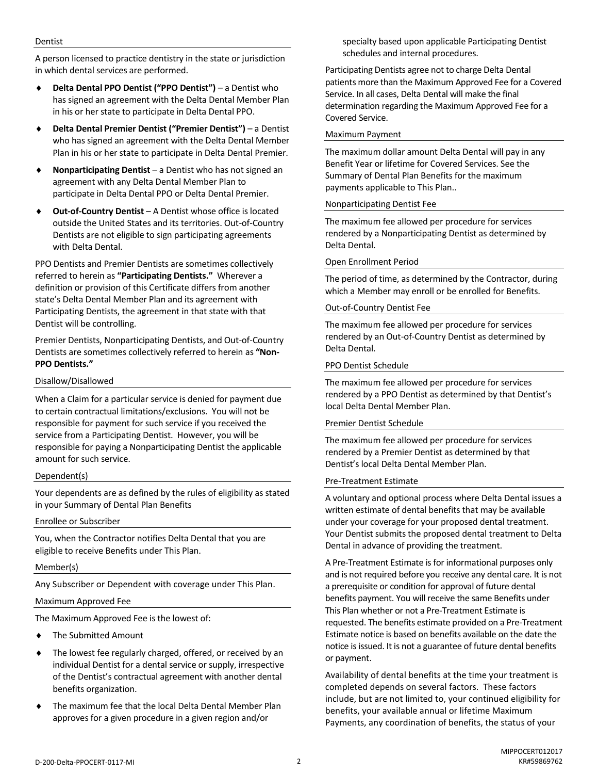#### Dentist

A person licensed to practice dentistry in the state or jurisdiction in which dental services are performed.

- **Delta Dental PPO Dentist ("PPO Dentist")** a Dentist who has signed an agreement with the Delta Dental Member Plan in his or her state to participate in Delta Dental PPO.
- **Delta Dental Premier Dentist ("Premier Dentist")**  a Dentist who has signed an agreement with the Delta Dental Member Plan in his or her state to participate in Delta Dental Premier.
- **Nonparticipating Dentist**  a Dentist who has not signed an agreement with any Delta Dental Member Plan to participate in Delta Dental PPO or Delta Dental Premier.
- **Out-of-Country Dentist** A Dentist whose office is located outside the United States and its territories. Out-of-Country Dentists are not eligible to sign participating agreements with Delta Dental.

PPO Dentists and Premier Dentists are sometimes collectively referred to herein as **"Participating Dentists."** Wherever a definition or provision of this Certificate differs from another state's Delta Dental Member Plan and its agreement with Participating Dentists, the agreement in that state with that Dentist will be controlling.

Premier Dentists, Nonparticipating Dentists, and Out-of-Country Dentists are sometimes collectively referred to herein as **"Non-PPO Dentists."**

#### Disallow/Disallowed

When a Claim for a particular service is denied for payment due to certain contractual limitations/exclusions. You will not be responsible for payment for such service if you received the service from a Participating Dentist. However, you will be responsible for paying a Nonparticipating Dentist the applicable amount for such service.

#### Dependent(s)

Your dependents are as defined by the rules of eligibility as stated in your Summary of Dental Plan Benefits

#### Enrollee or Subscriber

You, when the Contractor notifies Delta Dental that you are eligible to receive Benefits under This Plan.

#### Member(s)

Any Subscriber or Dependent with coverage under This Plan.

#### Maximum Approved Fee

The Maximum Approved Fee is the lowest of:

- The Submitted Amount
- The lowest fee regularly charged, offered, or received by an individual Dentist for a dental service or supply, irrespective of the Dentist's contractual agreement with another dental benefits organization.
- The maximum fee that the local Delta Dental Member Plan approves for a given procedure in a given region and/or

specialty based upon applicable Participating Dentist schedules and internal procedures.

Participating Dentists agree not to charge Delta Dental patients more than the Maximum Approved Fee for a Covered Service. In all cases, Delta Dental will make the final determination regarding the Maximum Approved Fee for a Covered Service.

#### Maximum Payment

The maximum dollar amount Delta Dental will pay in any Benefit Year or lifetime for Covered Services. See the Summary of Dental Plan Benefits for the maximum payments applicable to This Plan..

#### Nonparticipating Dentist Fee

The maximum fee allowed per procedure for services rendered by a Nonparticipating Dentist as determined by Delta Dental.

#### Open Enrollment Period

The period of time, as determined by the Contractor, during which a Member may enroll or be enrolled for Benefits.

# Out-of-Country Dentist Fee

The maximum fee allowed per procedure for services rendered by an Out-of-Country Dentist as determined by Delta Dental.

#### PPO Dentist Schedule

The maximum fee allowed per procedure for services rendered by a PPO Dentist as determined by that Dentist's local Delta Dental Member Plan.

#### Premier Dentist Schedule

The maximum fee allowed per procedure for services rendered by a Premier Dentist as determined by that Dentist's local Delta Dental Member Plan.

#### Pre-Treatment Estimate

A voluntary and optional process where Delta Dental issues a written estimate of dental benefits that may be available under your coverage for your proposed dental treatment. Your Dentist submits the proposed dental treatment to Delta Dental in advance of providing the treatment.

A Pre-Treatment Estimate is for informational purposes only and is not required before you receive any dental care. It is not a prerequisite or condition for approval of future dental benefits payment. You will receive the same Benefits under This Plan whether or not a Pre-Treatment Estimate is requested. The benefits estimate provided on a Pre-Treatment Estimate notice is based on benefits available on the date the notice is issued. It is not a guarantee of future dental benefits or payment.

Availability of dental benefits at the time your treatment is completed depends on several factors. These factors include, but are not limited to, your continued eligibility for benefits, your available annual or lifetime Maximum Payments, any coordination of benefits, the status of your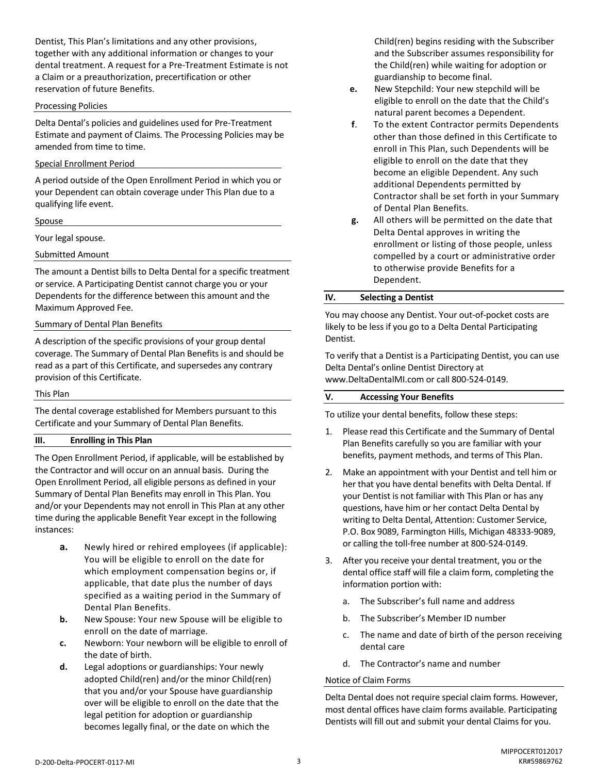Dentist, This Plan's limitations and any other provisions, together with any additional information or changes to your dental treatment. A request for a Pre-Treatment Estimate is not a Claim or a preauthorization, precertification or other reservation of future Benefits.

#### Processing Policies

Delta Dental's policies and guidelines used for Pre-Treatment Estimate and payment of Claims. The Processing Policies may be amended from time to time.

#### Special Enrollment Period

A period outside of the Open Enrollment Period in which you or your Dependent can obtain coverage under This Plan due to a qualifying life event.

#### Spouse

Your legal spouse.

Submitted Amount

The amount a Dentist bills to Delta Dental for a specific treatment or service. A Participating Dentist cannot charge you or your Dependents for the difference between this amount and the Maximum Approved Fee.

#### Summary of Dental Plan Benefits

A description of the specific provisions of your group dental coverage. The Summary of Dental Plan Benefits is and should be read as a part of this Certificate, and supersedes any contrary provision of this Certificate.

#### This Plan

The dental coverage established for Members pursuant to this Certificate and your Summary of Dental Plan Benefits.

# **III. Enrolling in This Plan**

The Open Enrollment Period, if applicable, will be established by the Contractor and will occur on an annual basis. During the Open Enrollment Period, all eligible persons as defined in your Summary of Dental Plan Benefits may enroll in This Plan. You and/or your Dependents may not enroll in This Plan at any other time during the applicable Benefit Year except in the following instances:

- **a.** Newly hired or rehired employees (if applicable): You will be eligible to enroll on the date for which employment compensation begins or, if applicable, that date plus the number of days specified as a waiting period in the Summary of Dental Plan Benefits.
- **b.** New Spouse: Your new Spouse will be eligible to enroll on the date of marriage.
- **c.** Newborn: Your newborn will be eligible to enroll of the date of birth.
- **d.** Legal adoptions or guardianships: Your newly adopted Child(ren) and/or the minor Child(ren) that you and/or your Spouse have guardianship over will be eligible to enroll on the date that the legal petition for adoption or guardianship becomes legally final, or the date on which the

Child(ren) begins residing with the Subscriber and the Subscriber assumes responsibility for the Child(ren) while waiting for adoption or guardianship to become final.

- **e.** New Stepchild: Your new stepchild will be eligible to enroll on the date that the Child's natural parent becomes a Dependent.
- **f**. To the extent Contractor permits Dependents other than those defined in this Certificate to enroll in This Plan, such Dependents will be eligible to enroll on the date that they become an eligible Dependent. Any such additional Dependents permitted by Contractor shall be set forth in your Summary of Dental Plan Benefits.
- **g.** All others will be permitted on the date that Delta Dental approves in writing the enrollment or listing of those people, unless compelled by a court or administrative order to otherwise provide Benefits for a Dependent.

#### **IV. Selecting a Dentist**

You may choose any Dentist. Your out-of-pocket costs are likely to be less if you go to a Delta Dental Participating Dentist.

To verify that a Dentist is a Participating Dentist, you can use Delta Dental's online Dentist Directory at www.DeltaDentalMI.com or call 800-524-0149.

#### **V. Accessing Your Benefits**

To utilize your dental benefits, follow these steps:

- 1. Please read this Certificate and the Summary of Dental Plan Benefits carefully so you are familiar with your benefits, payment methods, and terms of This Plan.
- 2. Make an appointment with your Dentist and tell him or her that you have dental benefits with Delta Dental. If your Dentist is not familiar with This Plan or has any questions, have him or her contact Delta Dental by writing to Delta Dental, Attention: Customer Service, P.O. Box 9089, Farmington Hills, Michigan 48333-9089, or calling the toll-free number at 800-524-0149.
- 3. After you receive your dental treatment, you or the dental office staff will file a claim form, completing the information portion with:
	- a. The Subscriber's full name and address
	- b. The Subscriber's Member ID number
	- c. The name and date of birth of the person receiving dental care
	- d. The Contractor's name and number

# Notice of Claim Forms

Delta Dental does not require special claim forms. However, most dental offices have claim forms available. Participating Dentists will fill out and submit your dental Claims for you.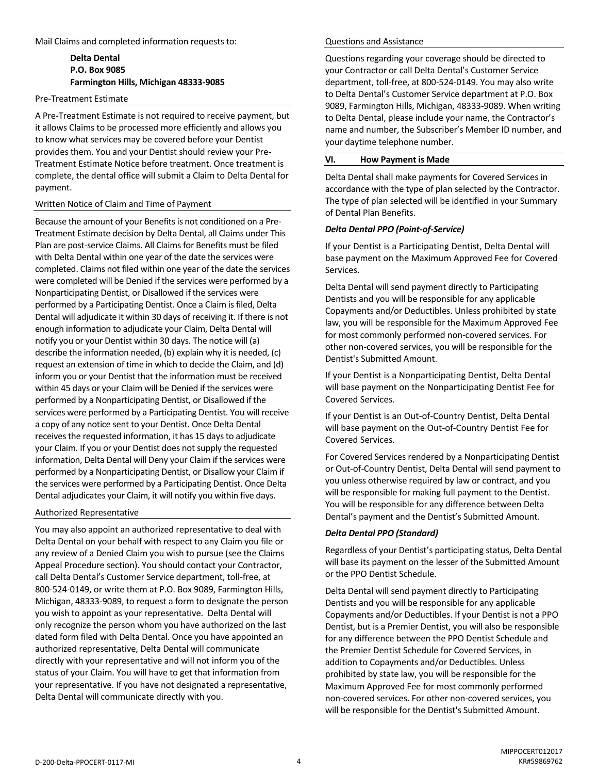Mail Claims and completed information requests to:

# **Delta Dental P.O. Box 9085 Farmington Hills, Michigan 48333-9085**

#### Pre-Treatment Estimate

A Pre-Treatment Estimate is not required to receive payment, but it allows Claims to be processed more efficiently and allows you to know what services may be covered before your Dentist provides them. You and your Dentist should review your Pre-Treatment Estimate Notice before treatment. Once treatment is complete, the dental office will submit a Claim to Delta Dental for payment.

#### Written Notice of Claim and Time of Payment

Because the amount of your Benefits is not conditioned on a Pre-Treatment Estimate decision by Delta Dental, all Claims under This Plan are post-service Claims. All Claims for Benefits must be filed with Delta Dental within one year of the date the services were completed. Claims not filed within one year of the date the services were completed will be Denied if the services were performed by a Nonparticipating Dentist, or Disallowed if the services were performed by a Participating Dentist. Once a Claim is filed, Delta Dental will adjudicate it within 30 days of receiving it. If there is not enough information to adjudicate your Claim, Delta Dental will notify you or your Dentist within 30 days. The notice will (a) describe the information needed, (b) explain why it is needed, (c) request an extension of time in which to decide the Claim, and (d) inform you or your Dentist that the information must be received within 45 days or your Claim will be Denied if the services were performed by a Nonparticipating Dentist, or Disallowed if the services were performed by a Participating Dentist. You will receive a copy of any notice sent to your Dentist. Once Delta Dental receives the requested information, it has 15 days to adjudicate your Claim. If you or your Dentist does not supply the requested information, Delta Dental will Deny your Claim if the services were performed by a Nonparticipating Dentist, or Disallow your Claim if the services were performed by a Participating Dentist. Once Delta Dental adjudicates your Claim, it will notify you within five days.

# Authorized Representative

You may also appoint an authorized representative to deal with Delta Dental on your behalf with respect to any Claim you file or any review of a Denied Claim you wish to pursue (see the Claims Appeal Procedure section). You should contact your Contractor, call Delta Dental's Customer Service department, toll-free, at 800-524-0149, or write them at P.O. Box 9089, Farmington Hills, Michigan, 48333-9089, to request a form to designate the person you wish to appoint as your representative. Delta Dental will only recognize the person whom you have authorized on the last dated form filed with Delta Dental. Once you have appointed an authorized representative, Delta Dental will communicate directly with your representative and will not inform you of the status of your Claim. You will have to get that information from your representative. If you have not designated a representative, Delta Dental will communicate directly with you.

#### Questions and Assistance

Questions regarding your coverage should be directed to your Contractor or call Delta Dental's Customer Service department, toll-free, at 800-524-0149. You may also write to Delta Dental's Customer Service department at P.O. Box 9089, Farmington Hills, Michigan, 48333-9089. When writing to Delta Dental, please include your name, the Contractor's name and number, the Subscriber's Member ID number, and your daytime telephone number.

# **VI. How Payment is Made**

Delta Dental shall make payments for Covered Services in accordance with the type of plan selected by the Contractor. The type of plan selected will be identified in your Summary of Dental Plan Benefits.

#### *Delta Dental PPO (Point-of-Service)*

If your Dentist is a Participating Dentist, Delta Dental will base payment on the Maximum Approved Fee for Covered Services.

Delta Dental will send payment directly to Participating Dentists and you will be responsible for any applicable Copayments and/or Deductibles. Unless prohibited by state law, you will be responsible for the Maximum Approved Fee for most commonly performed non-covered services. For other non-covered services, you will be responsible for the Dentist's Submitted Amount.

If your Dentist is a Nonparticipating Dentist, Delta Dental will base payment on the Nonparticipating Dentist Fee for Covered Services.

If your Dentist is an Out-of-Country Dentist, Delta Dental will base payment on the Out-of-Country Dentist Fee for Covered Services.

For Covered Services rendered by a Nonparticipating Dentist or Out-of-Country Dentist, Delta Dental will send payment to you unless otherwise required by law or contract, and you will be responsible for making full payment to the Dentist. You will be responsible for any difference between Delta Dental's payment and the Dentist's Submitted Amount.

#### *Delta Dental PPO (Standard)*

Regardless of your Dentist's participating status, Delta Dental will base its payment on the lesser of the Submitted Amount or the PPO Dentist Schedule.

Delta Dental will send payment directly to Participating Dentists and you will be responsible for any applicable Copayments and/or Deductibles. If your Dentist is not a PPO Dentist, but is a Premier Dentist, you will also be responsible for any difference between the PPO Dentist Schedule and the Premier Dentist Schedule for Covered Services, in addition to Copayments and/or Deductibles. Unless prohibited by state law, you will be responsible for the Maximum Approved Fee for most commonly performed non-covered services. For other non-covered services, you will be responsible for the Dentist's Submitted Amount.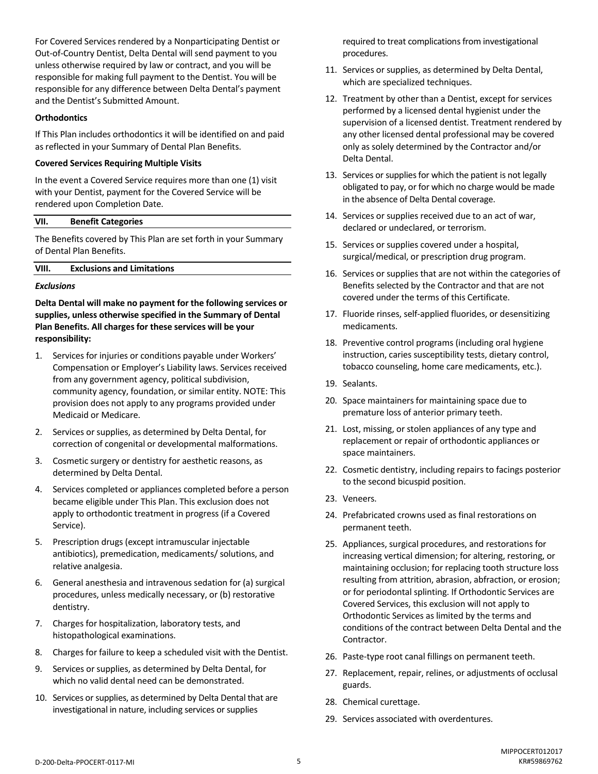For Covered Services rendered by a Nonparticipating Dentist or Out-of-Country Dentist, Delta Dental will send payment to you unless otherwise required by law or contract, and you will be responsible for making full payment to the Dentist. You will be responsible for any difference between Delta Dental's payment and the Dentist's Submitted Amount.

#### **Orthodontics**

If This Plan includes orthodontics it will be identified on and paid as reflected in your Summary of Dental Plan Benefits.

#### **Covered Services Requiring Multiple Visits**

In the event a Covered Service requires more than one (1) visit with your Dentist, payment for the Covered Service will be rendered upon Completion Date.

#### **VII. Benefit Categories**

The Benefits covered by This Plan are set forth in your Summary of Dental Plan Benefits.

#### **VIII. Exclusions and Limitations**

#### *Exclusions*

**Delta Dental will make no payment for the following services or supplies, unless otherwise specified in the Summary of Dental Plan Benefits. All charges for these services will be your responsibility:**

- 1. Services for injuries or conditions payable under Workers' Compensation or Employer's Liability laws. Services received from any government agency, political subdivision, community agency, foundation, or similar entity. NOTE: This provision does not apply to any programs provided under Medicaid or Medicare.
- 2. Services or supplies, as determined by Delta Dental, for correction of congenital or developmental malformations.
- 3. Cosmetic surgery or dentistry for aesthetic reasons, as determined by Delta Dental.
- 4. Services completed or appliances completed before a person became eligible under This Plan. This exclusion does not apply to orthodontic treatment in progress (if a Covered Service).
- 5. Prescription drugs (except intramuscular injectable antibiotics), premedication, medicaments/ solutions, and relative analgesia.
- 6. General anesthesia and intravenous sedation for (a) surgical procedures, unless medically necessary, or (b) restorative dentistry.
- 7. Charges for hospitalization, laboratory tests, and histopathological examinations.
- 8. Charges for failure to keep a scheduled visit with the Dentist.
- 9. Services or supplies, as determined by Delta Dental, for which no valid dental need can be demonstrated.
- 10. Services or supplies, as determined by Delta Dental that are investigational in nature, including services or supplies

required to treat complications from investigational procedures.

- 11. Services or supplies, as determined by Delta Dental, which are specialized techniques.
- 12. Treatment by other than a Dentist, except for services performed by a licensed dental hygienist under the supervision of a licensed dentist. Treatment rendered by any other licensed dental professional may be covered only as solely determined by the Contractor and/or Delta Dental.
- 13. Services or supplies for which the patient is not legally obligated to pay, or for which no charge would be made in the absence of Delta Dental coverage.
- 14. Services or supplies received due to an act of war, declared or undeclared, or terrorism.
- 15. Services or supplies covered under a hospital, surgical/medical, or prescription drug program.
- 16. Services or supplies that are not within the categories of Benefits selected by the Contractor and that are not covered under the terms of this Certificate.
- 17. Fluoride rinses, self-applied fluorides, or desensitizing medicaments.
- 18. Preventive control programs (including oral hygiene instruction, caries susceptibility tests, dietary control, tobacco counseling, home care medicaments, etc.).
- 19. Sealants.
- 20. Space maintainers for maintaining space due to premature loss of anterior primary teeth.
- 21. Lost, missing, or stolen appliances of any type and replacement or repair of orthodontic appliances or space maintainers.
- 22. Cosmetic dentistry, including repairs to facings posterior to the second bicuspid position.
- 23. Veneers.
- 24. Prefabricated crowns used as final restorations on permanent teeth.
- 25. Appliances, surgical procedures, and restorations for increasing vertical dimension; for altering, restoring, or maintaining occlusion; for replacing tooth structure loss resulting from attrition, abrasion, abfraction, or erosion; or for periodontal splinting. If Orthodontic Services are Covered Services, this exclusion will not apply to Orthodontic Services as limited by the terms and conditions of the contract between Delta Dental and the Contractor.
- 26. Paste-type root canal fillings on permanent teeth.
- 27. Replacement, repair, relines, or adjustments of occlusal guards.
- 28. Chemical curettage.
- 29. Services associated with overdentures.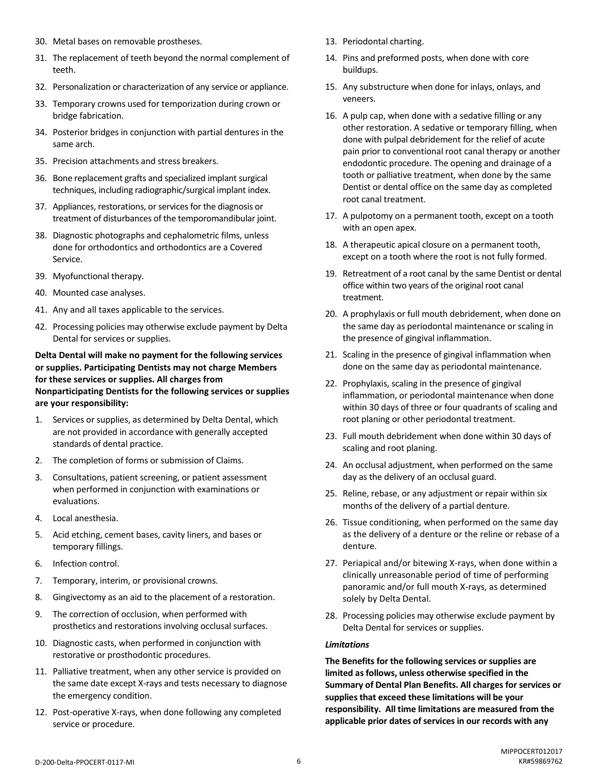- 30. Metal bases on removable prostheses.
- 31. The replacement of teeth beyond the normal complement of teeth.
- 32. Personalization or characterization of any service or appliance.
- 33. Temporary crowns used for temporization during crown or bridge fabrication.
- 34. Posterior bridges in conjunction with partial dentures in the same arch.
- 35. Precision attachments and stress breakers.
- 36. Bone replacement grafts and specialized implant surgical techniques, including radiographic/surgical implant index.
- 37. Appliances, restorations, or services for the diagnosis or treatment of disturbances of the temporomandibular joint.
- 38. Diagnostic photographs and cephalometric films, unless done for orthodontics and orthodontics are a Covered Service.
- 39. Myofunctional therapy.
- 40. Mounted case analyses.
- 41. Any and all taxes applicable to the services.
- 42. Processing policies may otherwise exclude payment by Delta Dental for services or supplies.

**Delta Dental will make no payment for the following services or supplies. Participating Dentists may not charge Members for these services or supplies. All charges from Nonparticipating Dentists for the following services or supplies are your responsibility:**

- 1. Services or supplies, as determined by Delta Dental, which are not provided in accordance with generally accepted standards of dental practice.
- 2. The completion of forms or submission of Claims.
- 3. Consultations, patient screening, or patient assessment when performed in conjunction with examinations or evaluations.
- 4. Local anesthesia.
- 5. Acid etching, cement bases, cavity liners, and bases or temporary fillings.
- 6. Infection control.
- 7. Temporary, interim, or provisional crowns.
- 8. Gingivectomy as an aid to the placement of a restoration.
- 9. The correction of occlusion, when performed with prosthetics and restorations involving occlusal surfaces.
- 10. Diagnostic casts, when performed in conjunction with restorative or prosthodontic procedures.
- 11. Palliative treatment, when any other service is provided on the same date except X-rays and tests necessary to diagnose the emergency condition.
- 12. Post-operative X-rays, when done following any completed service or procedure.
- 13. Periodontal charting.
- 14. Pins and preformed posts, when done with core buildups.
- 15. Any substructure when done for inlays, onlays, and veneers.
- 16. A pulp cap, when done with a sedative filling or any other restoration. A sedative or temporary filling, when done with pulpal debridement for the relief of acute pain prior to conventional root canal therapy or another endodontic procedure. The opening and drainage of a tooth or palliative treatment, when done by the same Dentist or dental office on the same day as completed root canal treatment.
- 17. A pulpotomy on a permanent tooth, except on a tooth with an open apex.
- 18. A therapeutic apical closure on a permanent tooth, except on a tooth where the root is not fully formed.
- 19. Retreatment of a root canal by the same Dentist or dental office within two years of the original root canal treatment.
- 20. A prophylaxis or full mouth debridement, when done on the same day as periodontal maintenance or scaling in the presence of gingival inflammation.
- 21. Scaling in the presence of gingival inflammation when done on the same day as periodontal maintenance.
- 22. Prophylaxis, scaling in the presence of gingival inflammation, or periodontal maintenance when done within 30 days of three or four quadrants of scaling and root planing or other periodontal treatment.
- 23. Full mouth debridement when done within 30 days of scaling and root planing.
- 24. An occlusal adjustment, when performed on the same day as the delivery of an occlusal guard.
- 25. Reline, rebase, or any adjustment or repair within six months of the delivery of a partial denture.
- 26. Tissue conditioning, when performed on the same day as the delivery of a denture or the reline or rebase of a denture.
- 27. Periapical and/or bitewing X-rays, when done within a clinically unreasonable period of time of performing panoramic and/or full mouth X-rays, as determined solely by Delta Dental.
- 28. Processing policies may otherwise exclude payment by Delta Dental for services or supplies.

#### *Limitations*

**The Benefits for the following services or supplies are limited as follows, unless otherwise specified in the Summary of Dental Plan Benefits. All charges for services or supplies that exceed these limitations will be your responsibility. All time limitations are measured from the applicable prior dates of services in our records with any**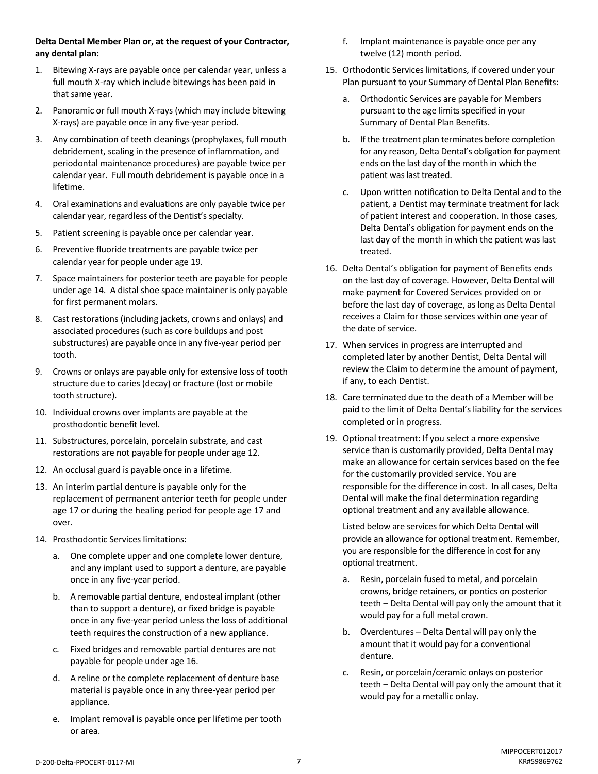# **Delta Dental Member Plan or, at the request of your Contractor, any dental plan:**

- 1. Bitewing X-rays are payable once per calendar year, unless a full mouth X-ray which include bitewings has been paid in that same year.
- 2. Panoramic or full mouth X-rays (which may include bitewing X-rays) are payable once in any five-year period.
- 3. Any combination of teeth cleanings (prophylaxes, full mouth debridement, scaling in the presence of inflammation, and periodontal maintenance procedures) are payable twice per calendar year. Full mouth debridement is payable once in a lifetime.
- 4. Oral examinations and evaluations are only payable twice per calendar year, regardless of the Dentist's specialty.
- 5. Patient screening is payable once per calendar year.
- 6. Preventive fluoride treatments are payable twice per calendar year for people under age 19.
- 7. Space maintainers for posterior teeth are payable for people under age 14. A distal shoe space maintainer is only payable for first permanent molars.
- 8. Cast restorations (including jackets, crowns and onlays) and associated procedures (such as core buildups and post substructures) are payable once in any five-year period per tooth.
- 9. Crowns or onlays are payable only for extensive loss of tooth structure due to caries (decay) or fracture (lost or mobile tooth structure).
- 10. Individual crowns over implants are payable at the prosthodontic benefit level.
- 11. Substructures, porcelain, porcelain substrate, and cast restorations are not payable for people under age 12.
- 12. An occlusal guard is payable once in a lifetime.
- 13. An interim partial denture is payable only for the replacement of permanent anterior teeth for people under age 17 or during the healing period for people age 17 and over.
- 14. Prosthodontic Services limitations:
	- a. One complete upper and one complete lower denture, and any implant used to support a denture, are payable once in any five-year period.
	- b. A removable partial denture, endosteal implant (other than to support a denture), or fixed bridge is payable once in any five-year period unless the loss of additional teeth requires the construction of a new appliance.
	- c. Fixed bridges and removable partial dentures are not payable for people under age 16.
	- d. A reline or the complete replacement of denture base material is payable once in any three-year period per appliance.
	- e. Implant removal is payable once per lifetime per tooth or area.
- f. Implant maintenance is payable once per any twelve (12) month period.
- 15. Orthodontic Services limitations, if covered under your Plan pursuant to your Summary of Dental Plan Benefits:
	- a. Orthodontic Services are payable for Members pursuant to the age limits specified in your Summary of Dental Plan Benefits.
	- b. If the treatment plan terminates before completion for any reason, Delta Dental's obligation for payment ends on the last day of the month in which the patient was last treated.
	- c. Upon written notification to Delta Dental and to the patient, a Dentist may terminate treatment for lack of patient interest and cooperation. In those cases, Delta Dental's obligation for payment ends on the last day of the month in which the patient was last treated.
- 16. Delta Dental's obligation for payment of Benefits ends on the last day of coverage. However, Delta Dental will make payment for Covered Services provided on or before the last day of coverage, as long as Delta Dental receives a Claim for those services within one year of the date of service.
- 17. When services in progress are interrupted and completed later by another Dentist, Delta Dental will review the Claim to determine the amount of payment, if any, to each Dentist.
- 18. Care terminated due to the death of a Member will be paid to the limit of Delta Dental's liability for the services completed or in progress.
- 19. Optional treatment: If you select a more expensive service than is customarily provided, Delta Dental may make an allowance for certain services based on the fee for the customarily provided service. You are responsible for the difference in cost. In all cases, Delta Dental will make the final determination regarding optional treatment and any available allowance.

Listed below are services for which Delta Dental will provide an allowance for optional treatment. Remember, you are responsible for the difference in cost for any optional treatment.

- a. Resin, porcelain fused to metal, and porcelain crowns, bridge retainers, or pontics on posterior teeth – Delta Dental will pay only the amount that it would pay for a full metal crown.
- b. Overdentures Delta Dental will pay only the amount that it would pay for a conventional denture.
- c. Resin, or porcelain/ceramic onlays on posterior teeth – Delta Dental will pay only the amount that it would pay for a metallic onlay.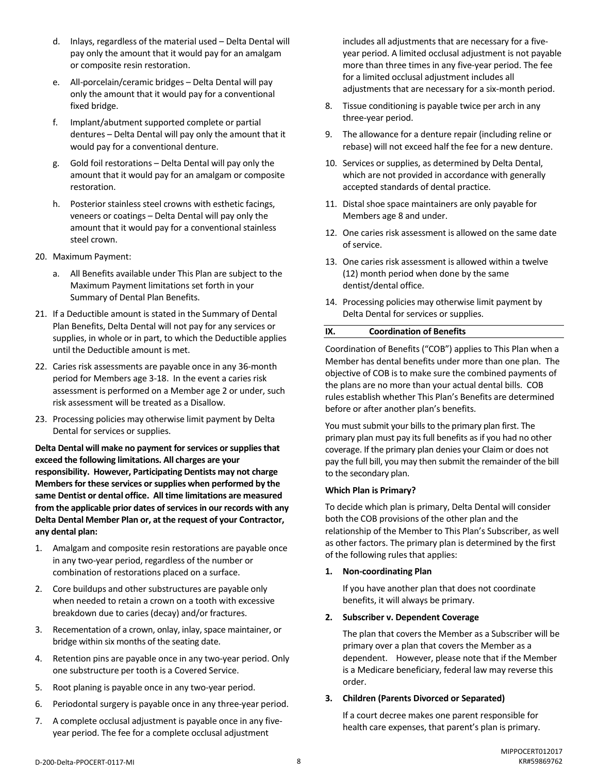- d. Inlays, regardless of the material used Delta Dental will pay only the amount that it would pay for an amalgam or composite resin restoration.
- e. All-porcelain/ceramic bridges Delta Dental will pay only the amount that it would pay for a conventional fixed bridge.
- f. Implant/abutment supported complete or partial dentures – Delta Dental will pay only the amount that it would pay for a conventional denture.
- g. Gold foil restorations Delta Dental will pay only the amount that it would pay for an amalgam or composite restoration.
- h. Posterior stainless steel crowns with esthetic facings, veneers or coatings – Delta Dental will pay only the amount that it would pay for a conventional stainless steel crown.
- 20. Maximum Payment:
	- a. All Benefits available under This Plan are subject to the Maximum Payment limitations set forth in your Summary of Dental Plan Benefits.
- 21. If a Deductible amount is stated in the Summary of Dental Plan Benefits, Delta Dental will not pay for any services or supplies, in whole or in part, to which the Deductible applies until the Deductible amount is met.
- 22. Caries risk assessments are payable once in any 36-month period for Members age 3-18. In the event a caries risk assessment is performed on a Member age 2 or under, such risk assessment will be treated as a Disallow.
- 23. Processing policies may otherwise limit payment by Delta Dental for services or supplies.

**Delta Dental will make no payment forservices or supplies that exceed the following limitations. All charges are your responsibility. However, Participating Dentists may not charge Members for these services or supplies when performed by the same Dentist or dental office. All time limitations are measured from the applicable prior dates of servicesin our records with any Delta Dental Member Plan or, at the request of your Contractor, any dental plan:**

- 1. Amalgam and composite resin restorations are payable once in any two-year period, regardless of the number or combination of restorations placed on a surface.
- 2. Core buildups and other substructures are payable only when needed to retain a crown on a tooth with excessive breakdown due to caries (decay) and/or fractures.
- 3. Recementation of a crown, onlay, inlay, space maintainer, or bridge within six months of the seating date.
- 4. Retention pins are payable once in any two-year period. Only one substructure per tooth is a Covered Service.
- 5. Root planing is payable once in any two-year period.
- 6. Periodontal surgery is payable once in any three-year period.
- 7. A complete occlusal adjustment is payable once in any fiveyear period. The fee for a complete occlusal adjustment

includes all adjustments that are necessary for a fiveyear period. A limited occlusal adjustment is not payable more than three times in any five-year period. The fee for a limited occlusal adjustment includes all adjustments that are necessary for a six-month period.

- 8. Tissue conditioning is payable twice per arch in any three-year period.
- 9. The allowance for a denture repair (including reline or rebase) will not exceed half the fee for a new denture.
- 10. Services or supplies, as determined by Delta Dental, which are not provided in accordance with generally accepted standards of dental practice.
- 11. Distal shoe space maintainers are only payable for Members age 8 and under.
- 12. One caries risk assessment is allowed on the same date of service.
- 13. One caries risk assessment is allowed within a twelve (12) month period when done by the same dentist/dental office.
- 14. Processing policies may otherwise limit payment by Delta Dental for services or supplies.

# **IX. Coordination of Benefits**

Coordination of Benefits ("COB") applies to This Plan when a Member has dental benefits under more than one plan. The objective of COB is to make sure the combined payments of the plans are no more than your actual dental bills. COB rules establish whether This Plan's Benefits are determined before or after another plan's benefits.

You must submit your bills to the primary plan first. The primary plan must pay its full benefits as if you had no other coverage. If the primary plan denies your Claim or does not pay the full bill, you may then submit the remainder of the bill to the secondary plan.

# **Which Plan is Primary?**

To decide which plan is primary, Delta Dental will consider both the COB provisions of the other plan and the relationship of the Member to This Plan's Subscriber, as well as other factors. The primary plan is determined by the first of the following rules that applies:

# **1. Non-coordinating Plan**

If you have another plan that does not coordinate benefits, it will always be primary.

# **2. Subscriber v. Dependent Coverage**

The plan that covers the Member as a Subscriber will be primary over a plan that covers the Member as a dependent. However, please note that if the Member is a Medicare beneficiary, federal law may reverse this order.

# **3. Children (Parents Divorced or Separated)**

If a court decree makes one parent responsible for health care expenses, that parent's plan is primary.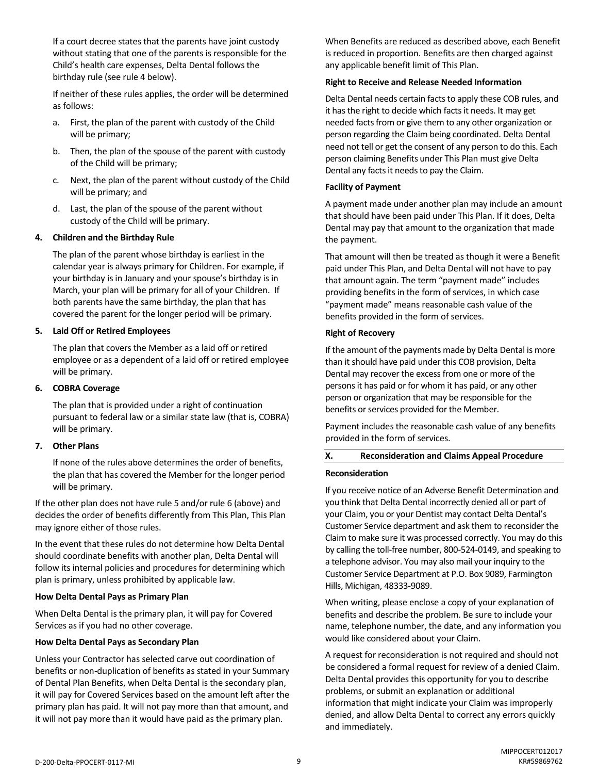If a court decree states that the parents have joint custody without stating that one of the parents is responsible for the Child's health care expenses, Delta Dental follows the birthday rule (see rule 4 below).

If neither of these rules applies, the order will be determined as follows:

- a. First, the plan of the parent with custody of the Child will be primary;
- b. Then, the plan of the spouse of the parent with custody of the Child will be primary;
- c. Next, the plan of the parent without custody of the Child will be primary; and
- d. Last, the plan of the spouse of the parent without custody of the Child will be primary.

# **4. Children and the Birthday Rule**

The plan of the parent whose birthday is earliest in the calendar year is always primary for Children. For example, if your birthday is in January and your spouse's birthday is in March, your plan will be primary for all of your Children. If both parents have the same birthday, the plan that has covered the parent for the longer period will be primary.

#### **5. Laid Off or Retired Employees**

The plan that covers the Member as a laid off or retired employee or as a dependent of a laid off or retired employee will be primary.

#### **6. COBRA Coverage**

The plan that is provided under a right of continuation pursuant to federal law or a similar state law (that is, COBRA) will be primary.

# **7. Other Plans**

If none of the rules above determines the order of benefits, the plan that has covered the Member for the longer period will be primary.

If the other plan does not have rule 5 and/or rule 6 (above) and decides the order of benefits differently from This Plan, This Plan may ignore either of those rules.

In the event that these rules do not determine how Delta Dental should coordinate benefits with another plan, Delta Dental will follow its internal policies and procedures for determining which plan is primary, unless prohibited by applicable law.

# **How Delta Dental Pays as Primary Plan**

When Delta Dental is the primary plan, it will pay for Covered Services as if you had no other coverage.

# **How Delta Dental Pays as Secondary Plan**

Unless your Contractor has selected carve out coordination of benefits or non-duplication of benefits as stated in your Summary of Dental Plan Benefits, when Delta Dental is the secondary plan, it will pay for Covered Services based on the amount left after the primary plan has paid. It will not pay more than that amount, and it will not pay more than it would have paid as the primary plan.

When Benefits are reduced as described above, each Benefit is reduced in proportion. Benefits are then charged against any applicable benefit limit of This Plan.

#### **Right to Receive and Release Needed Information**

Delta Dental needs certain facts to apply these COB rules, and it has the right to decide which facts it needs. It may get needed facts from or give them to any other organization or person regarding the Claim being coordinated. Delta Dental need not tell or get the consent of any person to do this. Each person claiming Benefits under This Plan must give Delta Dental any facts it needs to pay the Claim.

#### **Facility of Payment**

A payment made under another plan may include an amount that should have been paid under This Plan. If it does, Delta Dental may pay that amount to the organization that made the payment.

That amount will then be treated as though it were a Benefit paid under This Plan, and Delta Dental will not have to pay that amount again. The term "payment made" includes providing benefits in the form of services, in which case "payment made" means reasonable cash value of the benefits provided in the form of services.

#### **Right of Recovery**

If the amount of the payments made by Delta Dental is more than it should have paid under this COB provision, Delta Dental may recover the excess from one or more of the persons it has paid or for whom it has paid, or any other person or organization that may be responsible for the benefits or services provided for the Member.

Payment includes the reasonable cash value of any benefits provided in the form of services.

# **X. Reconsideration and Claims Appeal Procedure**

#### **Reconsideration**

If you receive notice of an Adverse Benefit Determination and you think that Delta Dental incorrectly denied all or part of your Claim, you or your Dentist may contact Delta Dental's Customer Service department and ask them to reconsider the Claim to make sure it was processed correctly. You may do this by calling the toll-free number, 800-524-0149, and speaking to a telephone advisor. You may also mail your inquiry to the Customer Service Department at P.O. Box 9089, Farmington Hills, Michigan, 48333-9089.

When writing, please enclose a copy of your explanation of benefits and describe the problem. Be sure to include your name, telephone number, the date, and any information you would like considered about your Claim.

A request for reconsideration is not required and should not be considered a formal request for review of a denied Claim. Delta Dental provides this opportunity for you to describe problems, or submit an explanation or additional information that might indicate your Claim was improperly denied, and allow Delta Dental to correct any errors quickly and immediately.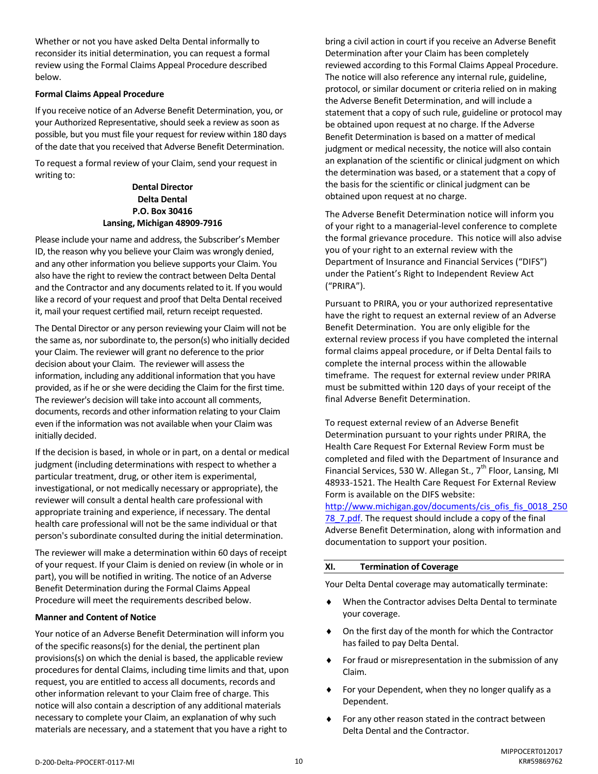Whether or not you have asked Delta Dental informally to reconsider its initial determination, you can request a formal review using the Formal Claims Appeal Procedure described below.

# **Formal Claims Appeal Procedure**

If you receive notice of an Adverse Benefit Determination, you, or your Authorized Representative, should seek a review as soon as possible, but you must file your request for review within 180 days of the date that you received that Adverse Benefit Determination.

To request a formal review of your Claim, send your request in writing to:

> **Dental Director Delta Dental P.O. Box 30416 Lansing, Michigan 48909-7916**

Please include your name and address, the Subscriber's Member ID, the reason why you believe your Claim was wrongly denied, and any other information you believe supports your Claim. You also have the right to review the contract between Delta Dental and the Contractor and any documents related to it. If you would like a record of your request and proof that Delta Dental received it, mail your request certified mail, return receipt requested.

The Dental Director or any person reviewing your Claim will not be the same as, nor subordinate to, the person(s) who initially decided your Claim. The reviewer will grant no deference to the prior decision about your Claim. The reviewer will assess the information, including any additional information that you have provided, as if he or she were deciding the Claim for the first time. The reviewer's decision will take into account all comments, documents, records and other information relating to your Claim even if the information was not available when your Claim was initially decided.

If the decision is based, in whole or in part, on a dental or medical judgment (including determinations with respect to whether a particular treatment, drug, or other item is experimental, investigational, or not medically necessary or appropriate), the reviewer will consult a dental health care professional with appropriate training and experience, if necessary. The dental health care professional will not be the same individual or that person's subordinate consulted during the initial determination.

The reviewer will make a determination within 60 days of receipt of your request. If your Claim is denied on review (in whole or in part), you will be notified in writing. The notice of an Adverse Benefit Determination during the Formal Claims Appeal Procedure will meet the requirements described below.

#### **Manner and Content of Notice**

Your notice of an Adverse Benefit Determination will inform you of the specific reasons(s) for the denial, the pertinent plan provisions(s) on which the denial is based, the applicable review procedures for dental Claims, including time limits and that, upon request, you are entitled to access all documents, records and other information relevant to your Claim free of charge. This notice will also contain a description of any additional materials necessary to complete your Claim, an explanation of why such materials are necessary, and a statement that you have a right to

bring a civil action in court if you receive an Adverse Benefit Determination after your Claim has been completely reviewed according to this Formal Claims Appeal Procedure. The notice will also reference any internal rule, guideline, protocol, or similar document or criteria relied on in making the Adverse Benefit Determination, and will include a statement that a copy of such rule, guideline or protocol may be obtained upon request at no charge. If the Adverse Benefit Determination is based on a matter of medical judgment or medical necessity, the notice will also contain an explanation of the scientific or clinical judgment on which the determination was based, or a statement that a copy of the basis for the scientific or clinical judgment can be obtained upon request at no charge.

The Adverse Benefit Determination notice will inform you of your right to a managerial-level conference to complete the formal grievance procedure. This notice will also advise you of your right to an external review with the Department of Insurance and Financial Services ("DIFS") under the Patient's Right to Independent Review Act ("PRIRA").

Pursuant to PRIRA, you or your authorized representative have the right to request an external review of an Adverse Benefit Determination. You are only eligible for the external review process if you have completed the internal formal claims appeal procedure, or if Delta Dental fails to complete the internal process within the allowable timeframe. The request for external review under PRIRA must be submitted within 120 days of your receipt of the final Adverse Benefit Determination.

To request external review of an Adverse Benefit Determination pursuant to your rights under PRIRA, the Health Care Request For External Review Form must be completed and filed with the Department of Insurance and Financial Services, 530 W. Allegan St.,  $7<sup>th</sup>$  Floor, Lansing, MI 48933-1521. The Health Care Request For External Review Form is available on the DIFS website:

[http://www.michigan.gov/documents/cis\\_ofis\\_fis\\_0018\\_250](http://www.michigan.gov/documents/cis_ofis_fis_0018_25078_7.pdf) 78 7.pdf. The request should include a copy of the final Adverse Benefit Determination, along with information and documentation to support your position.

#### **XI. Termination of Coverage**

Your Delta Dental coverage may automatically terminate:

- When the Contractor advises Delta Dental to terminate your coverage.
- On the first day of the month for which the Contractor has failed to pay Delta Dental.
- **For fraud or misrepresentation in the submission of any** Claim.
- For your Dependent, when they no longer qualify as a Dependent.
- For any other reason stated in the contract between Delta Dental and the Contractor.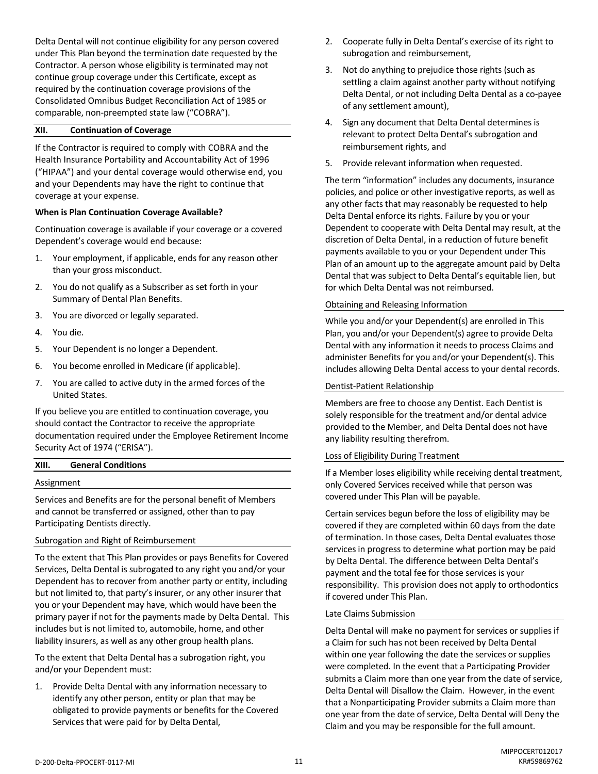Delta Dental will not continue eligibility for any person covered under This Plan beyond the termination date requested by the Contractor. A person whose eligibility is terminated may not continue group coverage under this Certificate, except as required by the continuation coverage provisions of the Consolidated Omnibus Budget Reconciliation Act of 1985 or comparable, non-preempted state law ("COBRA").

# **XII. Continuation of Coverage**

If the Contractor is required to comply with COBRA and the Health Insurance Portability and Accountability Act of 1996 ("HIPAA") and your dental coverage would otherwise end, you and your Dependents may have the right to continue that coverage at your expense.

# **When is Plan Continuation Coverage Available?**

Continuation coverage is available if your coverage or a covered Dependent's coverage would end because:

- 1. Your employment, if applicable, ends for any reason other than your gross misconduct.
- 2. You do not qualify as a Subscriber as set forth in your Summary of Dental Plan Benefits.
- 3. You are divorced or legally separated.
- 4. You die.
- 5. Your Dependent is no longer a Dependent.
- 6. You become enrolled in Medicare (if applicable).
- 7. You are called to active duty in the armed forces of the United States.

If you believe you are entitled to continuation coverage, you should contact the Contractor to receive the appropriate documentation required under the Employee Retirement Income Security Act of 1974 ("ERISA").

| XIII.      | <b>General Conditions</b> |  |  |
|------------|---------------------------|--|--|
| Assignment |                           |  |  |
|            |                           |  |  |

Services and Benefits are for the personal benefit of Members and cannot be transferred or assigned, other than to pay Participating Dentists directly.

#### Subrogation and Right of Reimbursement

To the extent that This Plan provides or pays Benefits for Covered Services, Delta Dental is subrogated to any right you and/or your Dependent has to recover from another party or entity, including but not limited to, that party's insurer, or any other insurer that you or your Dependent may have, which would have been the primary payer if not for the payments made by Delta Dental. This includes but is not limited to, automobile, home, and other liability insurers, as well as any other group health plans.

To the extent that Delta Dental has a subrogation right, you and/or your Dependent must:

1. Provide Delta Dental with any information necessary to identify any other person, entity or plan that may be obligated to provide payments or benefits for the Covered Services that were paid for by Delta Dental,

- 2. Cooperate fully in Delta Dental's exercise of its right to subrogation and reimbursement,
- 3. Not do anything to prejudice those rights (such as settling a claim against another party without notifying Delta Dental, or not including Delta Dental as a co-payee of any settlement amount),
- 4. Sign any document that Delta Dental determines is relevant to protect Delta Dental's subrogation and reimbursement rights, and
- 5. Provide relevant information when requested.

The term "information" includes any documents, insurance policies, and police or other investigative reports, as well as any other facts that may reasonably be requested to help Delta Dental enforce its rights. Failure by you or your Dependent to cooperate with Delta Dental may result, at the discretion of Delta Dental, in a reduction of future benefit payments available to you or your Dependent under This Plan of an amount up to the aggregate amount paid by Delta Dental that was subject to Delta Dental's equitable lien, but for which Delta Dental was not reimbursed.

#### Obtaining and Releasing Information

While you and/or your Dependent(s) are enrolled in This Plan, you and/or your Dependent(s) agree to provide Delta Dental with any information it needs to process Claims and administer Benefits for you and/or your Dependent(s). This includes allowing Delta Dental access to your dental records.

#### Dentist-Patient Relationship

Members are free to choose any Dentist. Each Dentist is solely responsible for the treatment and/or dental advice provided to the Member, and Delta Dental does not have any liability resulting therefrom.

#### Loss of Eligibility During Treatment

If a Member loses eligibility while receiving dental treatment, only Covered Services received while that person was covered under This Plan will be payable.

Certain services begun before the loss of eligibility may be covered if they are completed within 60 days from the date of termination. In those cases, Delta Dental evaluates those services in progress to determine what portion may be paid by Delta Dental. The difference between Delta Dental's payment and the total fee for those services is your responsibility. This provision does not apply to orthodontics if covered under This Plan.

#### Late Claims Submission

Delta Dental will make no payment for services or supplies if a Claim for such has not been received by Delta Dental within one year following the date the services or supplies were completed. In the event that a Participating Provider submits a Claim more than one year from the date of service, Delta Dental will Disallow the Claim. However, in the event that a Nonparticipating Provider submits a Claim more than one year from the date of service, Delta Dental will Deny the Claim and you may be responsible for the full amount.